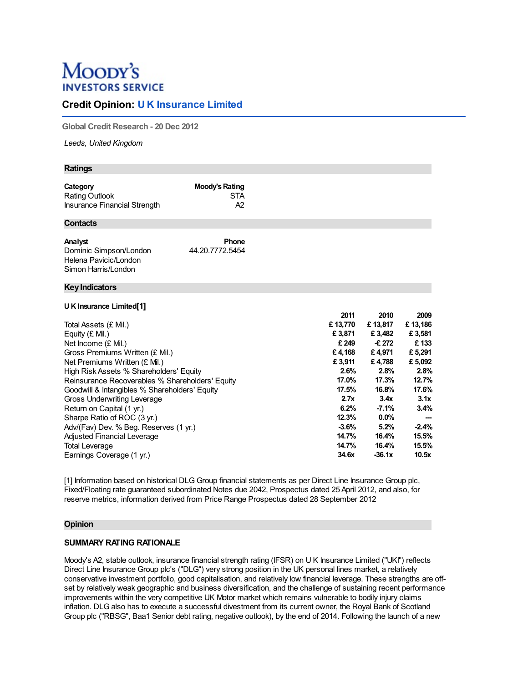# Moopy's **INVESTORS SERVICE**

# **Credit Opinion: U K Insurance Limited**

**Global Credit Research - 20 Dec 2012**

*Leeds, United Kingdom*

# **Ratings**

| Category                     | Moody's Rating |
|------------------------------|----------------|
| Rating Outlook               | STA            |
| Insurance Financial Strength | A2             |

# **Contacts**

| Analyst                | <b>Phone</b>    |
|------------------------|-----------------|
| Dominic Simpson/London | 44.20.7772.5454 |
| Helena Pavicic/London  |                 |
| Simon Harris/London    |                 |

# **KeyIndicators**

# **U K Insurance Limited[1]**

|                                                 | 2011    | 2010     | 2009    |
|-------------------------------------------------|---------|----------|---------|
| Total Assets (£ Mil.)                           | £13,770 | £13,817  | £13,186 |
| Equity $(E$ Mil.)                               | £3.871  | £3.482   | £3,581  |
| Net Income $(E$ Mil.)                           | £ 249   | £ 272    | £133    |
| Gross Premiums Written (£ Mil.)                 | £4.168  | £4.971   | £ 5,291 |
| Net Premiums Written (£ Mil.)                   | £3,911  | £4,788   | £5,092  |
| High Risk Assets % Shareholders' Equity         | 2.6%    | 2.8%     | 2.8%    |
| Reinsurance Recoverables % Shareholders' Equity | 17.0%   | 17.3%    | 12.7%   |
| Goodwill & Intangibles % Shareholders' Equity   | 17.5%   | 16.8%    | 17.6%   |
| Gross Underwriting Leverage                     | 2.7x    | 3.4x     | 3.1x    |
| Return on Capital (1 yr.)                       | 6.2%    | $-7.1%$  | 3.4%    |
| Sharpe Ratio of ROC (3 yr.)                     | 12.3%   | $0.0\%$  |         |
| Adv/(Fav) Dev. % Beg. Reserves (1 yr.)          | $-3.6%$ | 5.2%     | $-2.4%$ |
| Adjusted Financial Leverage                     | 14.7%   | 16.4%    | 15.5%   |
| <b>Total Leverage</b>                           | 14.7%   | 16.4%    | 15.5%   |
| Earnings Coverage (1 yr.)                       | 34.6x   | $-36.1x$ | 10.5x   |

[1] Information based on historical DLG Group financial statements as per Direct Line Insurance Group plc, Fixed/Floating rate guaranteed subordinated Notes due 2042, Prospectus dated 25 April 2012, and also, for reserve metrics, information derived from Price Range Prospectus dated 28 September 2012

# **Opinion**

# **SUMMARY RATING RATIONALE**

Moody's A2, stable outlook, insurance financial strength rating (IFSR) on U K Insurance Limited ("UKI") reflects Direct Line Insurance Group plc's ("DLG") very strong position in the UK personal lines market, a relatively conservative investment portfolio, good capitalisation, and relatively low financial leverage. These strengths are offset by relatively weak geographic and business diversification, and the challenge of sustaining recent performance improvements within the very competitive UK Motor market which remains vulnerable to bodily injury claims inflation. DLG also has to execute a successful divestment from its current owner, the Royal Bank of Scotland Group plc ("RBSG", Baa1 Senior debt rating, negative outlook), by the end of 2014. Following the launch of a new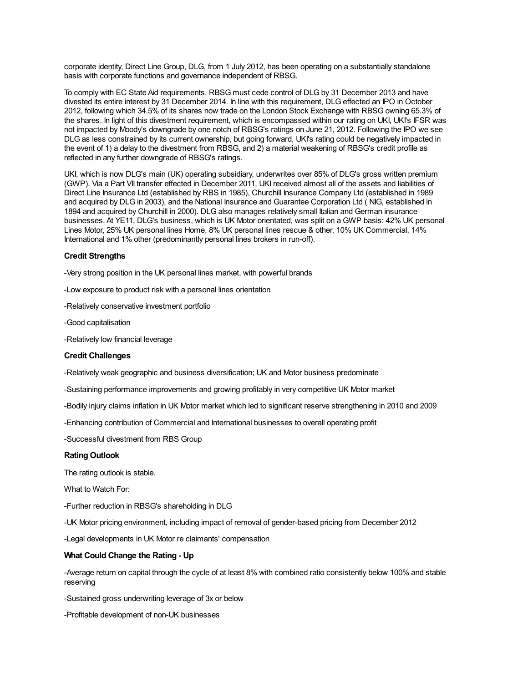corporate identity, Direct Line Group, DLG, from 1 July 2012, has been operating on a substantially standalone basis with corporate functions and governance independent of RBSG.

To comply with EC State Aid requirements, RBSG must cede control of DLG by 31 December 2013 and have divested its entire interest by 31 December 2014. In line with this requirement, DLG effected an IPO in October 2012, following which 34.5% of its shares now trade on the London Stock Exchange with RBSG owning 65.3% of the shares. In light of this divestment requirement, which is encompassed within our rating on UKI, UKI's IFSR was not impacted by Moody's downgrade by one notch of RBSG's ratings on June 21, 2012. Following the IPO we see DLG as less constrained by its current ownership, but going forward, UKI's rating could be negatively impacted in the event of 1) a delay to the divestment from RBSG, and 2) a material weakening of RBSG's credit profile as reflected in any further downgrade of RBSG's ratings.

UKI, which is now DLG's main (UK) operating subsidiary, underwrites over 85% of DLG's gross written premium (GWP). Via a Part VII transfer effected in December 2011, UKI received almost all of the assets and liabilities of Direct Line Insurance Ltd (established by RBS in 1985), Churchill Insurance Company Ltd (established in 1989 and acquired by DLG in 2003), and the National Insurance and Guarantee Corporation Ltd ( NIG, established in 1894 and acquired by Churchill in 2000). DLG also manages relatively small Italian and German insurance businesses. At YE11, DLG's business, which is UK Motor orientated, was split on a GWP basis: 42% UK personal Lines Motor, 25% UK personal lines Home, 8% UK personal lines rescue & other, 10% UK Commercial, 14% International and 1% other (predominantly personal lines brokers in run-off).

# **Credit Strengths**

-Very strong position in the UK personal lines market, with powerful brands

-Low exposure to product risk with a personal lines orientation

-Relatively conservative investment portfolio

-Good capitalisation

-Relatively low financial leverage

# **Credit Challenges**

-Relatively weak geographic and business diversification; UK and Motor business predominate

-Sustaining performance improvements and growing profitably in very competitive UK Motor market

-Bodily injury claims inflation in UK Motor market which led to significant reserve strengthening in 2010 and 2009

-Enhancing contribution of Commercial and International businesses to overall operating profit

-Successful divestment from RBS Group

# **Rating Outlook**

The rating outlook is stable.

What to Watch For:

-Further reduction in RBSG's shareholding in DLG

-UK Motor pricing environment, including impact of removal of gender-based pricing from December 2012

-Legal developments in UK Motor re claimants' compensation

# **What Could Change the Rating - Up**

-Average return on capital through the cycle of at least 8% with combined ratio consistently below 100% and stable reserving

-Sustained gross underwriting leverage of 3x or below

-Profitable development of non-UK businesses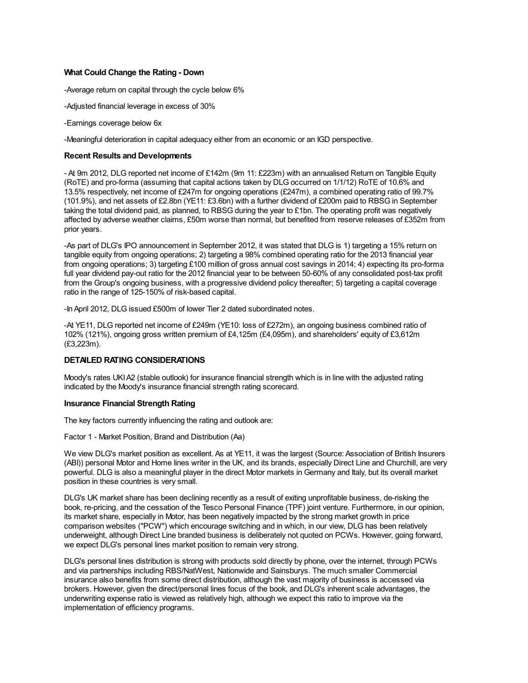# **What Could Change the Rating - Down**

-Average return on capital through the cycle below 6%

- -Adjusted financial leverage in excess of 30%
- -Earnings coverage below 6x
- -Meaningful deterioration in capital adequacy either from an economic or an IGD perspective.

#### **Recent Results and Developments**

- At 9m 2012, DLG reported net income of £142m (9m 11: £223m) with an annualised Return on Tangible Equity (RoTE) and pro-forma (assuming that capital actions taken by DLG occurred on 1/1/12) RoTE of 10.6% and 13.5% respectively, net income of £247m for ongoing operations (£247m), a combined operating ratio of 99.7% (101.9%), and net assets of £2.8bn (YE11: £3.6bn) with a further dividend of £200m paid to RBSG in September taking the total dividend paid, as planned, to RBSG during the year to £1bn. The operating profit was negatively affected by adverse weather claims, £50m worse than normal, but benefited from reserve releases of £352m from prior years.

-As part of DLG's IPO announcement in September 2012, it was stated that DLG is 1) targeting a 15% return on tangible equity from ongoing operations; 2) targeting a 98% combined operating ratio for the 2013 financial year from ongoing operations; 3) targeting £100 million of gross annual cost savings in 2014; 4) expecting its pro-forma full year dividend pay-out ratio for the 2012 financial year to be between 50-60% of any consolidated post-tax profit from the Group's ongoing business, with a progressive dividend policy thereafter; 5) targeting a capital coverage ratio in the range of 125-150% of risk-based capital.

-In April 2012, DLG issued £500m of lower Tier 2 dated subordinated notes.

-At YE11, DLG reported net income of £249m (YE10: loss of £272m), an ongoing business combined ratio of 102% (121%), ongoing gross written premium of £4,125m (£4,095m), and shareholders' equity of £3,612m (£3,223m).

# **DETAILED RATING CONSIDERATIONS**

Moody's rates UKIA2 (stable outlook) for insurance financial strength which is in line with the adjusted rating indicated by the Moody's insurance financial strength rating scorecard.

#### **Insurance Financial Strength Rating**

The key factors currently influencing the rating and outlook are:

Factor 1 - Market Position, Brand and Distribution (Aa)

We view DLG's market position as excellent. As at YE11, it was the largest (Source: Association of British Insurers (ABI)) personal Motor and Home lines writer in the UK, and its brands, especially Direct Line and Churchill, are very powerful. DLG is also a meaningful player in the direct Motor markets in Germany and Italy, but its overall market position in these countries is very small.

DLG's UK market share has been declining recently as a result of exiting unprofitable business, de-risking the book, re-pricing, and the cessation of the Tesco Personal Finance (TPF) joint venture. Furthermore, in our opinion, its market share, especially in Motor, has been negatively impacted by the strong market growth in price comparison websites ("PCW") which encourage switching and in which, in our view, DLG has been relatively underweight, although Direct Line branded business is deliberately not quoted on PCWs. However, going forward, we expect DLG's personal lines market position to remain very strong.

DLG's personal lines distribution is strong with products sold directly by phone, over the internet, through PCWs and via partnerships including RBS/NatWest, Nationwide and Sainsburys. The much smaller Commercial insurance also benefits from some direct distribution, although the vast majority of business is accessed via brokers. However, given the direct/personal lines focus of the book, and DLG's inherent scale advantages, the underwriting expense ratio is viewed as relatively high, although we expect this ratio to improve via the implementation of efficiency programs.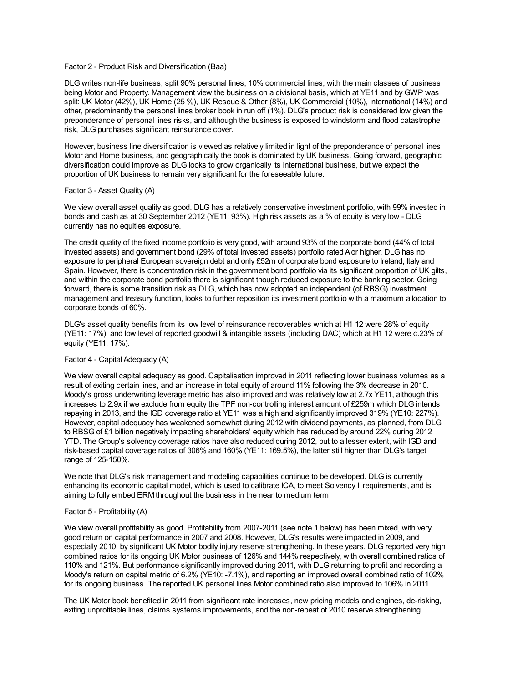#### Factor 2 - Product Risk and Diversification (Baa)

DLG writes non-life business, split 90% personal lines, 10% commercial lines, with the main classes of business being Motor and Property. Management view the business on a divisional basis, which at YE11 and by GWP was split: UK Motor (42%), UK Home (25 %), UK Rescue & Other (8%), UK Commercial (10%), International (14%) and other, predominantly the personal lines broker book in run off (1%). DLG's product risk is considered low given the preponderance of personal lines risks, and although the business is exposed to windstorm and flood catastrophe risk, DLG purchases significant reinsurance cover.

However, business line diversification is viewed as relatively limited in light of the preponderance of personal lines Motor and Home business, and geographically the book is dominated by UK business. Going forward, geographic diversification could improve as DLG looks to grow organically its international business, but we expect the proportion of UK business to remain very significant for the foreseeable future.

#### Factor 3 - Asset Quality (A)

We view overall asset quality as good. DLG has a relatively conservative investment portfolio, with 99% invested in bonds and cash as at 30 September 2012 (YE11: 93%). High risk assets as a % of equity is very low - DLG currently has no equities exposure.

The credit quality of the fixed income portfolio is very good, with around 93% of the corporate bond (44% of total invested assets) and government bond (29% of total invested assets) portfolio rated Aor higher. DLG has no exposure to peripheral European sovereign debt and only £52m of corporate bond exposure to Ireland, Italy and Spain. However, there is concentration risk in the government bond portfolio via its significant proportion of UK gilts, and within the corporate bond portfolio there is significant though reduced exposure to the banking sector. Going forward, there is some transition risk as DLG, which has now adopted an independent (of RBSG) investment management and treasury function, looks to further reposition its investment portfolio with a maximum allocation to corporate bonds of 60%.

DLG's asset quality benefits from its low level of reinsurance recoverables which at H1 12 were 28% of equity (YE11: 17%), and low level of reported goodwill & intangible assets (including DAC) which at H1 12 were c.23% of equity (YE11: 17%).

# Factor 4 - Capital Adequacy (A)

We view overall capital adequacy as good. Capitalisation improved in 2011 reflecting lower business volumes as a result of exiting certain lines, and an increase in total equity of around 11% following the 3% decrease in 2010. Moody's gross underwriting leverage metric has also improved and was relatively low at 2.7x YE11, although this increases to 2.9x if we exclude from equity the TPF non-controlling interest amount of £259m which DLG intends repaying in 2013, and the IGD coverage ratio at YE11 was a high and significantly improved 319% (YE10: 227%). However, capital adequacy has weakened somewhat during 2012 with dividend payments, as planned, from DLG to RBSG of £1 billion negatively impacting shareholders' equity which has reduced by around 22% during 2012 YTD. The Group's solvency coverage ratios have also reduced during 2012, but to a lesser extent, with IGD and risk-based capital coverage ratios of 306% and 160% (YE11: 169.5%), the latter still higher than DLG's target range of 125-150%.

We note that DLG's risk management and modelling capabilities continue to be developed. DLG is currently enhancing its economic capital model, which is used to calibrate ICA, to meet Solvency II requirements, and is aiming to fully embed ERM throughout the business in the near to medium term.

#### Factor 5 - Profitability (A)

We view overall profitability as good. Profitability from 2007-2011 (see note 1 below) has been mixed, with very good return on capital performance in 2007 and 2008. However, DLG's results were impacted in 2009, and especially 2010, by significant UK Motor bodily injury reserve strengthening. In these years, DLG reported very high combined ratios for its ongoing UK Motor business of 126% and 144% respectively, with overall combined ratios of 110% and 121%. But performance significantly improved during 2011, with DLG returning to profit and recording a Moody's return on capital metric of 6.2% (YE10: -7.1%), and reporting an improved overall combined ratio of 102% for its ongoing business. The reported UK personal lines Motor combined ratio also improved to 106% in 2011.

The UK Motor book benefited in 2011 from significant rate increases, new pricing models and engines, de-risking, exiting unprofitable lines, claims systems improvements, and the non-repeat of 2010 reserve strengthening.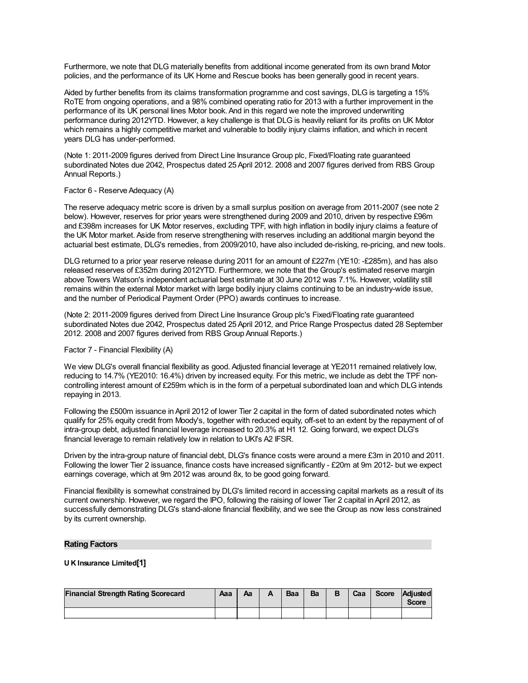Furthermore, we note that DLG materially benefits from additional income generated from its own brand Motor policies, and the performance of its UK Home and Rescue books has been generally good in recent years.

Aided by further benefits from its claims transformation programme and cost savings, DLG is targeting a 15% RoTE from ongoing operations, and a 98% combined operating ratio for 2013 with a further improvement in the performance of its UK personal lines Motor book. And in this regard we note the improved underwriting performance during 2012YTD. However, a key challenge is that DLG is heavily reliant for its profits on UK Motor which remains a highly competitive market and vulnerable to bodily injury claims inflation, and which in recent years DLG has under-performed.

(Note 1: 2011-2009 figures derived from Direct Line Insurance Group plc, Fixed/Floating rate guaranteed subordinated Notes due 2042, Prospectus dated 25 April 2012. 2008 and 2007 figures derived from RBS Group Annual Reports.)

#### Factor 6 - Reserve Adequacy (A)

The reserve adequacy metric score is driven by a small surplus position on average from 2011-2007 (see note 2 below). However, reserves for prior years were strengthened during 2009 and 2010, driven by respective £96m and £398m increases for UK Motor reserves, excluding TPF, with high inflation in bodily injury claims a feature of the UK Motor market. Aside from reserve strengthening with reserves including an additional margin beyond the actuarial best estimate, DLG's remedies, from 2009/2010, have also included de-risking, re-pricing, and new tools.

DLG returned to a prior year reserve release during 2011 for an amount of £227m (YE10: -£285m), and has also released reserves of £352m during 2012YTD. Furthermore, we note that the Group's estimated reserve margin above Towers Watson's independent actuarial best estimate at 30 June 2012 was 7.1%. However, volatility still remains within the external Motor market with large bodily injury claims continuing to be an industry-wide issue, and the number of Periodical Payment Order (PPO) awards continues to increase.

(Note 2: 2011-2009 figures derived from Direct Line Insurance Group plc's Fixed/Floating rate guaranteed subordinated Notes due 2042, Prospectus dated 25 April 2012, and Price Range Prospectus dated 28 September 2012. 2008 and 2007 figures derived from RBS Group Annual Reports.)

#### Factor 7 - Financial Flexibility (A)

We view DLG's overall financial flexibility as good. Adjusted financial leverage at YE2011 remained relatively low, reducing to 14.7% (YE2010: 16.4%) driven by increased equity. For this metric, we include as debt the TPF noncontrolling interest amount of £259m which is in the form of a perpetual subordinated loan and which DLG intends repaying in 2013.

Following the £500m issuance in April 2012 of lower Tier 2 capital in the form of dated subordinated notes which qualify for 25% equity credit from Moody's, together with reduced equity, off-set to an extent by the repayment of of intra-group debt, adjusted financial leverage increased to 20.3% at H1 12. Going forward, we expect DLG's financial leverage to remain relatively low in relation to UKI's A2 IFSR.

Driven by the intra-group nature of financial debt, DLG's finance costs were around a mere £3m in 2010 and 2011. Following the lower Tier 2 issuance, finance costs have increased significantly - £20m at 9m 2012- but we expect earnings coverage, which at 9m 2012 was around 8x, to be good going forward.

Financial flexibility is somewhat constrained by DLG's limited record in accessing capital markets as a result of its current ownership. However, we regard the IPO, following the raising of lower Tier 2 capital in April 2012, as successfully demonstrating DLG's stand-alone financial flexibility, and we see the Group as now less constrained by its current ownership.

#### **Rating Factors**

#### **U K Insurance Limited[1]**

| <b>Financial Strength Rating Scorecard</b> | Aaa | Аa | Baa | <b>Ba</b> | в | Caa | Score | Adiusted<br><b>Score</b> |
|--------------------------------------------|-----|----|-----|-----------|---|-----|-------|--------------------------|
|                                            |     |    |     |           |   |     |       |                          |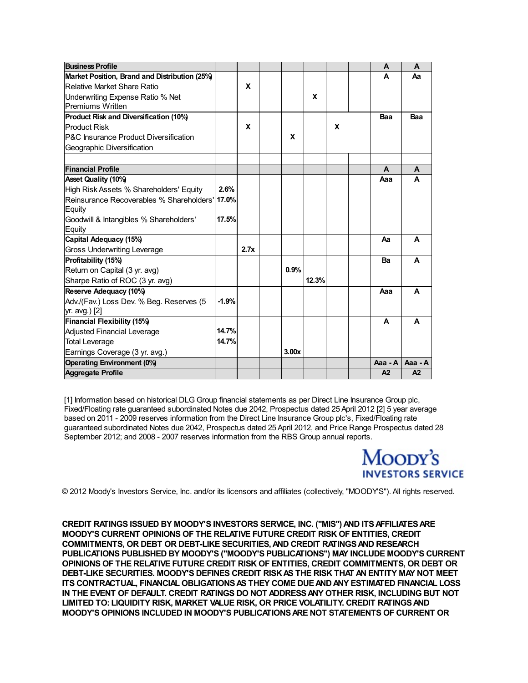| <b>Business Profile</b>                          |         |          |       |       |   | A       | A       |
|--------------------------------------------------|---------|----------|-------|-------|---|---------|---------|
| Market Position, Brand and Distribution (25%)    |         |          |       |       |   | A       | Аа      |
| Relative Market Share Ratio                      |         | X        |       |       |   |         |         |
| Underwriting Expense Ratio % Net                 |         |          |       | X     |   |         |         |
| <b>Premiums Written</b>                          |         |          |       |       |   |         |         |
| Product Risk and Diversification (10%)           |         |          |       |       |   | Baa     | Baa     |
| <b>Product Risk</b>                              |         | <b>X</b> |       |       | X |         |         |
| <b>P&amp;C</b> Insurance Product Diversification |         |          | X     |       |   |         |         |
| Geographic Diversification                       |         |          |       |       |   |         |         |
|                                                  |         |          |       |       |   |         |         |
| <b>Financial Profile</b>                         |         |          |       |       |   | A       | A       |
| <b>Asset Quality (10%)</b>                       |         |          |       |       |   | Aaa     | A       |
| High Risk Assets % Shareholders' Equity          | 2.6%    |          |       |       |   |         |         |
| Reinsurance Recoverables % Shareholders' 17.0%   |         |          |       |       |   |         |         |
| Equity                                           |         |          |       |       |   |         |         |
| Goodwill & Intangibles % Shareholders'           | 17.5%   |          |       |       |   |         |         |
| Equity                                           |         |          |       |       |   |         |         |
| Capital Adequacy (15%)                           |         |          |       |       |   | Aа      | A       |
| Gross Underwriting Leverage                      |         | 2.7x     |       |       |   |         |         |
| Profitability (15%)                              |         |          |       |       |   | Ba      | A       |
| Return on Capital (3 yr. avg)                    |         |          | 0.9%  |       |   |         |         |
| Sharpe Ratio of ROC (3 yr. avg)                  |         |          |       | 12.3% |   |         |         |
| Reserve Adequacy (10%)                           |         |          |       |       |   | Aaa     | A       |
| Adv./(Fav.) Loss Dev. % Beg. Reserves (5         | $-1.9%$ |          |       |       |   |         |         |
| yr. avg.) [2]                                    |         |          |       |       |   |         |         |
| <b>Financial Flexibility (15%)</b>               |         |          |       |       |   | A       | A       |
| Adjusted Financial Leverage                      | 14.7%   |          |       |       |   |         |         |
| <b>Total Leverage</b>                            | 14.7%   |          |       |       |   |         |         |
| Earnings Coverage (3 yr. avg.)                   |         |          | 3.00x |       |   |         |         |
| <b>Operating Environment (0%)</b>                |         |          |       |       |   | Aaa - A | Aaa - A |
| <b>Aggregate Profile</b>                         |         |          |       |       |   | A2      | A2      |

[1] Information based on historical DLG Group financial statements as per Direct Line Insurance Group plc, Fixed/Floating rate guaranteed subordinated Notes due 2042, Prospectus dated 25 April 2012 [2] 5 year average based on 2011 - 2009 reserves information from the Direct Line Insurance Group plc's, Fixed/Floating rate guaranteed subordinated Notes due 2042, Prospectus dated 25 April 2012, and Price Range Prospectus dated 28 September 2012; and 2008 - 2007 reserves information from the RBS Group annual reports.



© 2012 Moody's Investors Service, Inc. and/or its licensors and affiliates (collectively, "MOODY'S"). All rights reserved.

**CREDIT RATINGS ISSUED BY MOODY'S INVESTORS SERVICE, INC. ("MIS")AND ITSAFFILIATESARE MOODY'S CURRENT OPINIONS OF THE RELATIVE FUTURE CREDIT RISK OF ENTITIES, CREDIT COMMITMENTS, OR DEBT OR DEBT-LIKE SECURITIES,AND CREDIT RATINGSAND RESEARCH PUBLICATIONS PUBLISHED BY MOODY'S ("MOODY'S PUBLICATIONS") MAY INCLUDE MOODY'S CURRENT OPINIONS OF THE RELATIVE FUTURE CREDIT RISK OF ENTITIES, CREDIT COMMITMENTS, OR DEBT OR DEBT-LIKE SECURITIES. MOODY'S DEFINES CREDIT RISKAS THE RISK THAT AN ENTITY MAY NOT MEET ITS CONTRACTUAL, FINANCIAL OBLIGATIONSAS THEY COME DUEANDANY ESTIMATED FINANCIAL LOSS IN THE EVENT OF DEFAULT. CREDIT RATINGS DO NOT ADDRESSANY OTHER RISK, INCLUDING BUT NOT LIMITED TO: LIQUIDITY RISK, MARKET VALUE RISK, OR PRICE VOLATILITY. CREDIT RATINGSAND MOODY'S OPINIONS INCLUDED IN MOODY'S PUBLICATIONSARE NOT STATEMENTS OF CURRENT OR**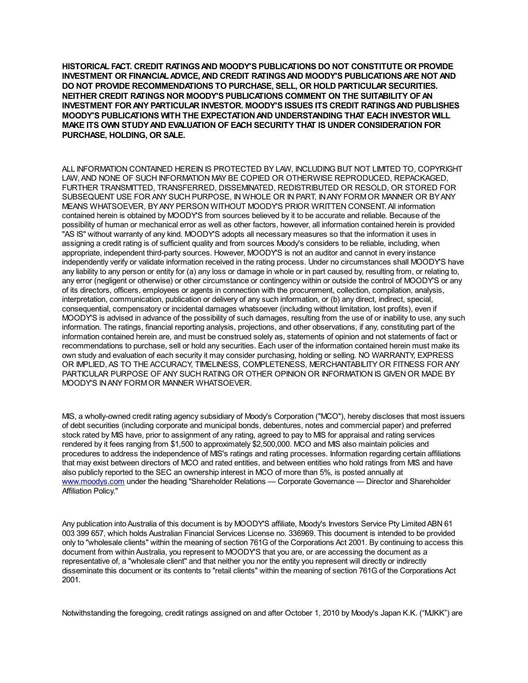**HISTORICAL FACT. CREDIT RATINGSAND MOODY'S PUBLICATIONS DO NOT CONSTITUTE OR PROVIDE INVESTMENT OR FINANCIALADVICE,AND CREDIT RATINGSAND MOODY'S PUBLICATIONSARE NOT AND DO NOT PROVIDE RECOMMENDATIONS TO PURCHASE, SELL, OR HOLD PARTICULAR SECURITIES. NEITHER CREDIT RATINGS NOR MOODY'S PUBLICATIONS COMMENT ON THE SUITABILITY OFAN INVESTMENT FORANY PARTICULAR INVESTOR. MOODY'S ISSUES ITS CREDIT RATINGSAND PUBLISHES MOODY'S PUBLICATIONS WITH THE EXPECTATIONAND UNDERSTANDING THAT EACH INVESTOR WILL MAKE ITS OWN STUDYAND EVALUATION OF EACH SECURITY THAT IS UNDER CONSIDERATION FOR PURCHASE, HOLDING, OR SALE.**

ALL INFORMATION CONTAINED HEREIN IS PROTECTED BY LAW, INCLUDING BUT NOT LIMITED TO, COPYRIGHT LAW, AND NONE OF SUCH INFORMATION MAY BE COPIED OR OTHERWISE REPRODUCED, REPACKAGED, FURTHER TRANSMITTED, TRANSFERRED, DISSEMINATED, REDISTRIBUTED OR RESOLD, OR STORED FOR SUBSEQUENT USE FOR ANY SUCH PURPOSE, IN WHOLE OR IN PART, INANY FORMOR MANNER OR BYANY MEANS WHATSOEVER, BYANY PERSON WITHOUT MOODY'S PRIOR WRITTEN CONSENT. All information contained herein is obtained by MOODY'S from sources believed by it to be accurate and reliable. Because of the possibility of human or mechanical error as well as other factors, however, all information contained herein is provided "AS IS" without warranty of any kind. MOODY'S adopts all necessary measures so that the information it uses in assigning a credit rating is of sufficient quality and from sources Moody's considers to be reliable, including, when appropriate, independent third-party sources. However, MOODY'S is not an auditor and cannot in every instance independently verify or validate information received in the rating process. Under no circumstances shall MOODY'S have any liability to any person or entity for (a) any loss or damage in whole or in part caused by, resulting from, or relating to, any error (negligent or otherwise) or other circumstance or contingency within or outside the control of MOODY'S or any of its directors, officers, employees or agents in connection with the procurement, collection, compilation, analysis, interpretation, communication, publication or delivery of any such information, or (b) any direct, indirect, special, consequential, compensatory or incidental damages whatsoever (including without limitation, lost profits), even if MOODY'S is advised in advance of the possibility of such damages, resulting from the use of or inability to use, any such information. The ratings, financial reporting analysis, projections, and other observations, if any, constituting part of the information contained herein are, and must be construed solely as, statements of opinion and not statements of fact or recommendations to [purchase](http://www.moodys.com/), sell or hold any securities. Each user of the information contained herein must make its own study and evaluation of each security it may consider purchasing, holding or selling. NO WARRANTY, EXPRESS OR IMPLIED, AS TO THE ACCURACY, TIMELINESS, COMPLETENESS, MERCHANTABILITYOR FITNESS FOR ANY PARTICULAR PURPOSE OF ANY SUCH RATING OR OTHER OPINION OR INFORMATION IS GIVEN OR MADE BY MOODY'S INANY FORMOR MANNER WHATSOEVER.

MIS, a wholly-owned credit rating agency subsidiary of Moody's Corporation ("MCO"), hereby discloses that most issuers of debt securities (including corporate and municipal bonds, debentures, notes and commercial paper) and preferred stock rated by MIS have, prior to assignment of any rating, agreed to pay to MIS for appraisal and rating services rendered by it fees ranging from \$1,500 to approximately \$2,500,000. MCO and MIS also maintain policies and procedures to address the independence of MIS's ratings and rating processes. Information regarding certain affiliations that may exist between directors of MCO and rated entities, and between entities who hold ratings from MIS and have also publicly reported to the SEC an ownership interest in MCO of more than 5%, is posted annually at www.moodys.com under the heading "Shareholder Relations — Corporate Governance — Director and Shareholder Affiliation Policy."

Any publication into Australia of this document is by MOODY'S affiliate, Moody's Investors Service Pty Limited ABN 61 003 399 657, which holds Australian Financial Services License no. 336969. This document is intended to be provided only to "wholesale clients" within the meaning of section 761G of the Corporations Act 2001. By continuing to access this document from within Australia, you represent to MOODY'S that you are, or are accessing the document as a representative of, a "wholesale client" and that neither you nor the entity you represent will directly or indirectly disseminate this document or its contents to "retail clients" within the meaning of section 761G of the Corporations Act 2001.

Notwithstanding the foregoing, credit ratings assigned on and after October 1, 2010 by Moody's Japan K.K. ("MJKK") are